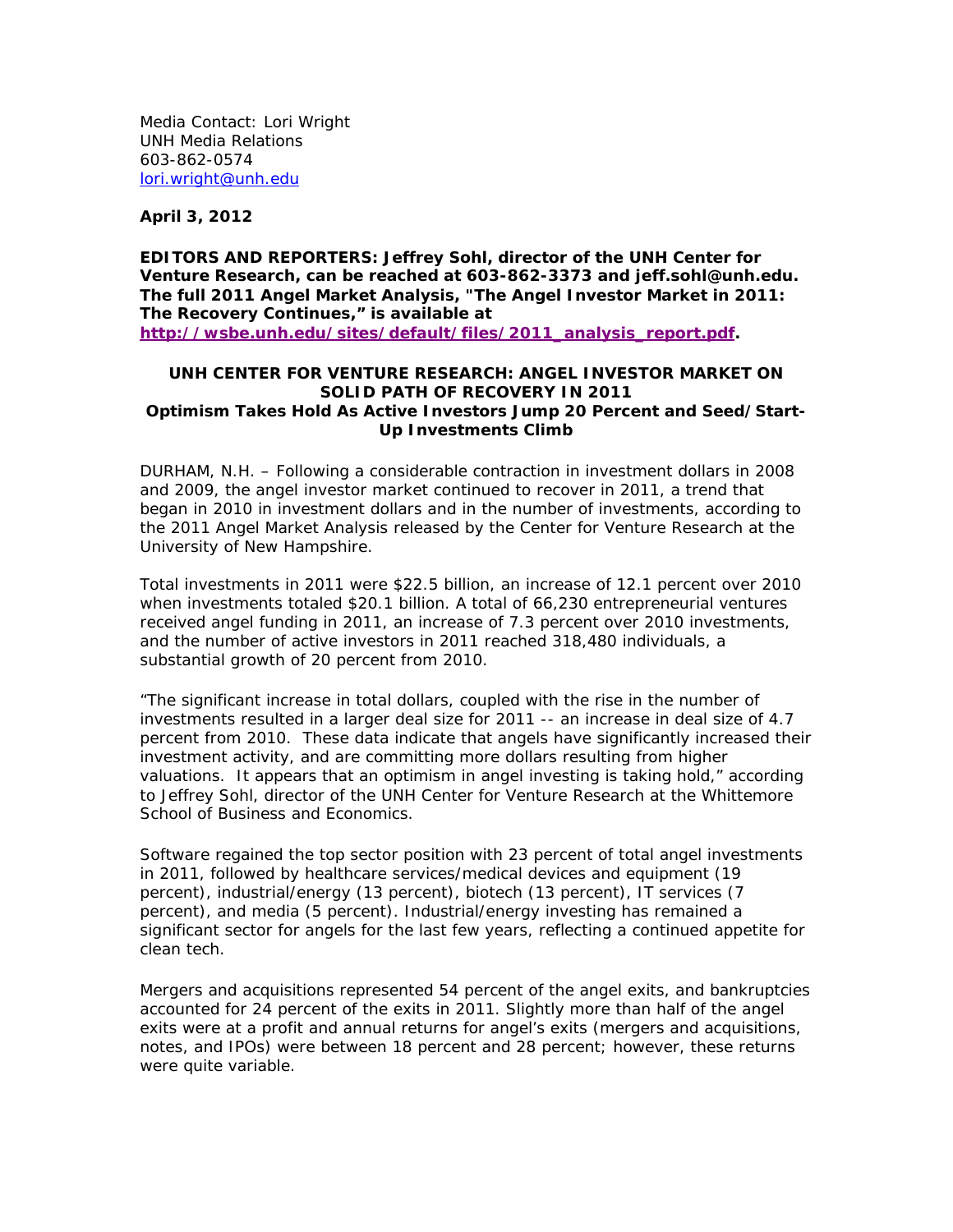Media Contact: Lori Wright UNH Media Relations 603-862-0574 lori.wright@unh.edu

**April 3, 2012** 

**EDITORS AND REPORTERS: Jeffrey Sohl, director of the UNH Center for Venture Research, can be reached at 603-862-3373 and jeff.sohl@unh.edu. The full 2011 Angel Market Analysis, "The Angel Investor Market in 2011: The Recovery Continues," is available at http://wsbe.unh.edu/sites/default/files/2011\_analysis\_report.pdf.** 

## **UNH CENTER FOR VENTURE RESEARCH: ANGEL INVESTOR MARKET ON SOLID PATH OF RECOVERY IN 2011 Optimism Takes Hold As Active Investors Jump 20 Percent and Seed/Start-Up Investments Climb**

DURHAM, N.H. – Following a considerable contraction in investment dollars in 2008 and 2009, the angel investor market continued to recover in 2011, a trend that began in 2010 in investment dollars and in the number of investments, according to the 2011 Angel Market Analysis released by the Center for Venture Research at the University of New Hampshire.

Total investments in 2011 were \$22.5 billion, an increase of 12.1 percent over 2010 when investments totaled \$20.1 billion. A total of 66,230 entrepreneurial ventures received angel funding in 2011, an increase of 7.3 percent over 2010 investments, and the number of active investors in 2011 reached 318,480 individuals, a substantial growth of 20 percent from 2010.

"The significant increase in total dollars, coupled with the rise in the number of investments resulted in a larger deal size for 2011 -- an increase in deal size of 4.7 percent from 2010. These data indicate that angels have significantly increased their investment activity, and are committing more dollars resulting from higher valuations. It appears that an optimism in angel investing is taking hold," according to Jeffrey Sohl, director of the UNH Center for Venture Research at the Whittemore School of Business and Economics.

Software regained the top sector position with 23 percent of total angel investments in 2011, followed by healthcare services/medical devices and equipment (19 percent), industrial/energy (13 percent), biotech (13 percent), IT services (7 percent), and media (5 percent). Industrial/energy investing has remained a significant sector for angels for the last few years, reflecting a continued appetite for clean tech.

Mergers and acquisitions represented 54 percent of the angel exits, and bankruptcies accounted for 24 percent of the exits in 2011. Slightly more than half of the angel exits were at a profit and annual returns for angel's exits (mergers and acquisitions, notes, and IPOs) were between 18 percent and 28 percent; however, these returns were quite variable.